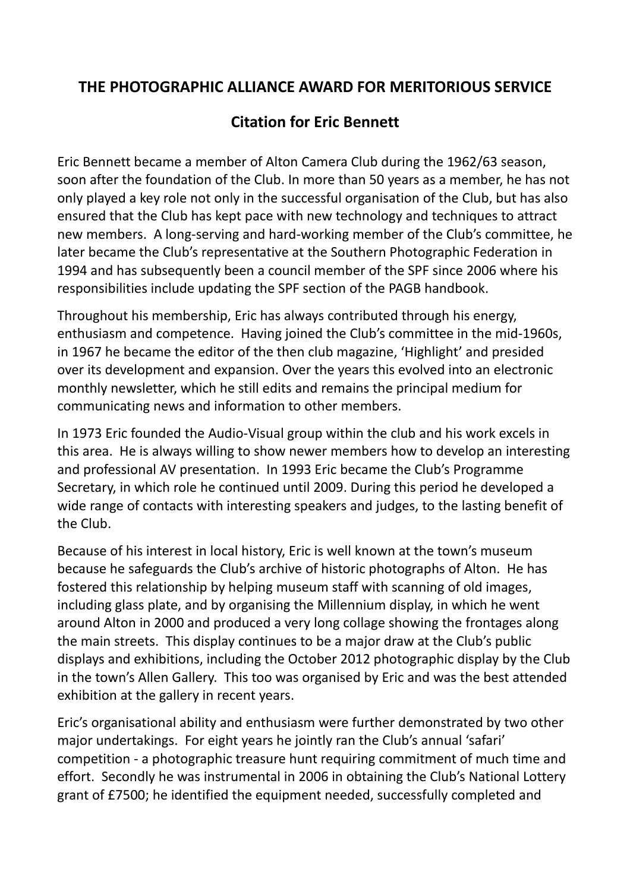## **THE PHOTOGRAPHIC ALLIANCE AWARD FOR MERITORIOUS SERVICE**

## **Citation for Eric Bennett**

Eric Bennett became a member of Alton Camera Club during the 1962/63 season, soon after the foundation of the Club. In more than 50 years as a member, he has not only played a key role not only in the successful organisation of the Club, but has also ensured that the Club has kept pace with new technology and techniques to attract new members. A long-serving and hard-working member of the Club's committee, he later became the Club's representative at the Southern Photographic Federation in 1994 and has subsequently been a council member of the SPF since 2006 where his responsibilities include updating the SPF section of the PAGB handbook.

Throughout his membership, Eric has always contributed through his energy, enthusiasm and competence. Having joined the Club's committee in the mid-1960s, in 1967 he became the editor of the then club magazine, 'Highlight' and presided over its development and expansion. Over the years this evolved into an electronic monthly newsletter, which he still edits and remains the principal medium for communicating news and information to other members.

In 1973 Eric founded the Audio-Visual group within the club and his work excels in this area. He is always willing to show newer members how to develop an interesting and professional AV presentation. In 1993 Eric became the Club's Programme Secretary, in which role he continued until 2009. During this period he developed a wide range of contacts with interesting speakers and judges, to the lasting benefit of the Club.

Because of his interest in local history, Eric is well known at the town's museum because he safeguards the Club's archive of historic photographs of Alton. He has fostered this relationship by helping museum staff with scanning of old images, including glass plate, and by organising the Millennium display, in which he went around Alton in 2000 and produced a very long collage showing the frontages along the main streets. This display continues to be a major draw at the Club's public displays and exhibitions, including the October 2012 photographic display by the Club in the town's Allen Gallery. This too was organised by Eric and was the best attended exhibition at the gallery in recent years.

Eric's organisational ability and enthusiasm were further demonstrated by two other major undertakings. For eight years he jointly ran the Club's annual 'safari' competition - a photographic treasure hunt requiring commitment of much time and effort. Secondly he was instrumental in 2006 in obtaining the Club's National Lottery grant of £7500; he identified the equipment needed, successfully completed and